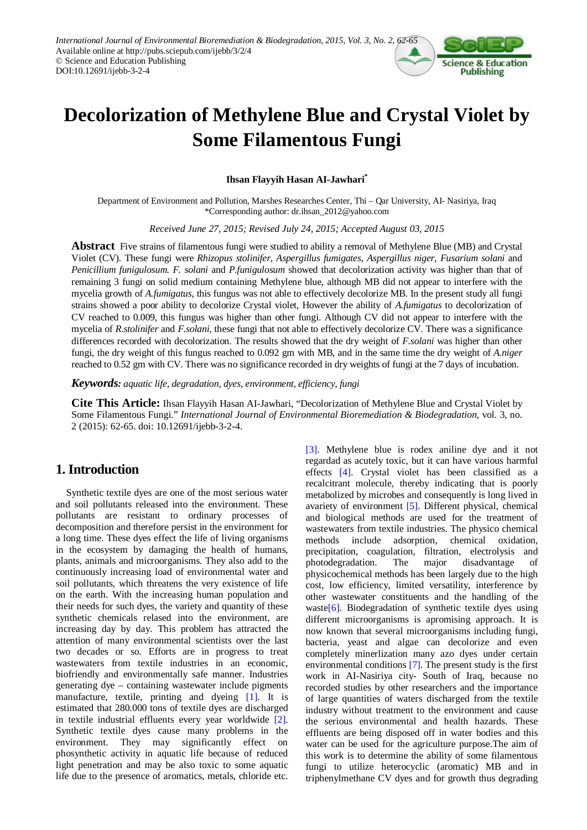

# **Decolorization of Methylene Blue and Crystal Violet by Some Filamentous Fungi**

**Ihsan Flayyih Hasan AI-Jawhari\***

Department of Environment and Pollution, Marshes Researches Center, Thi – Qar University, AI- Nasiriya, Iraq \*Corresponding author: dr.ihsan\_2012@yahoo.com

*Received June 27, 2015; Revised July 24, 2015; Accepted August 03, 2015*

**Abstract** Five strains of filamentous fungi were studied to ability a removal of Methylene Blue (MB) and Crystal Violet (CV). These fungi were *Rhizopus stolinifer, Aspergillus fumigates, Aspergillus niger, Fusarium solani* and *Penicillium funigulosum. F. solani* and *P.funigulosum* showed that decolorization activity was higher than that of remaining 3 fungi on solid medium containing Methylene blue, although MB did not appear to interfere with the mycelia growth of *A.fumigatus,* this fungus was not able to effectively decolorize MB. In the present study all fungi strains showed a poor ability to decolorize Crystal violet, However the ability of *A.fumigatus* to decolorization of CV reached to 0.009, this fungus was higher than other fungi. Although CV did not appear to interfere with the mycelia of *R.stolinifer* and *F.solani,* these fungi that not able to effectively decolorize CV. There was a significance differences recorded with decolorization. The results showed that the dry weight of *F.solani* was higher than other fungi, the dry weight of this fungus reached to 0.092 gm with MB, and in the same time the dry weight of *A.niger* reached to 0.52 gm with CV. There was no significance recorded in dry weights of fungi at the 7 days of incubation.

*Keywords: aquatic life, degradation, dyes, environment, efficiency, fungi*

**Cite This Article:** Ihsan Flayyih Hasan AI-Jawhari, "Decolorization of Methylene Blue and Crystal Violet by Some Filamentous Fungi." *International Journal of Environmental Bioremediation & Biodegradation*, vol. 3, no. 2 (2015): 62-65. doi: 10.12691/ijebb-3-2-4.

# **1. Introduction**

Synthetic textile dyes are one of the most serious water and soil pollutants released into the environment. These pollutants are resistant to ordinary processes of decomposition and therefore persist in the environment for a long time. These dyes effect the life of living organisms in the ecosystem by damaging the health of humans, plants, animals and microorganisms. They also add to the continuously increasing load of environmental water and soil pollutants, which threatens the very existence of life on the earth. With the increasing human population and their needs for such dyes, the variety and quantity of these synthetic chemicals relased into the environment, are increasing day by day. This problem has attracted the attention of many environmental scientists over the last two decades or so. Efforts are in progress to treat wastewaters from textile industries in an economic, biofriendly and environmentally safe manner. Industries generating dye – containing wastewater include pigments manufacture, textile, printing and dyeing [\[1\].](#page-2-0) It is estimated that 280.000 tons of textile dyes are discharged in textile industrial effluents every year worldwide [\[2\].](#page-2-1) Synthetic textile dyes cause many problems in the environment. They may significantly effect on phosynthetic activity in aquatic life because of reduced light penetration and may be also toxic to some aquatic life due to the presence of aromatics, metals, chloride etc. [\[3\].](#page-2-2) Methylene blue is rodex aniline dye and it not regardad as acutely toxic, but it can have various harmful effects [\[4\].](#page-2-3) Crystal violet has been classified as a recalcitrant molecule, thereby indicating that is poorly metabolized by microbes and consequently is long lived in avariety of environment [\[5\].](#page-2-4) Different physical, chemical and biological methods are used for the treatment of wastewaters from textile industries. The physico chemical methods include adsorption, chemical oxidation, precipitation, coagulation, filtration, electrolysis and photodegradation. The major disadvantage of physicochemical methods has been largely due to the high cost, low efficiency, limited versatility, interference by other wastewater constituents and the handling of the waste $[6]$ . Biodegradation of synthetic textile dyes using different microorganisms is apromising approach. It is now known that several microorganisms including fungi, bacteria, yeast and algae can decolorize and even completely minerlization many azo dyes under certain environmental conditions [\[7\].](#page-2-6) The present study is the first work in AI-Nasiriya city- South of Iraq, because no recorded studies by other researchers and the importance of large quantities of waters discharged from the textile industry without treatment to the environment and cause the serious environmental and health hazards. These effluents are being disposed off in water bodies and this water can be used for the agriculture purpose.The aim of this work is to determine the ability of some filamentous fungi to utilize heterocyclic (aromatic) MB and in triphenylmethane CV dyes and for growth thus degrading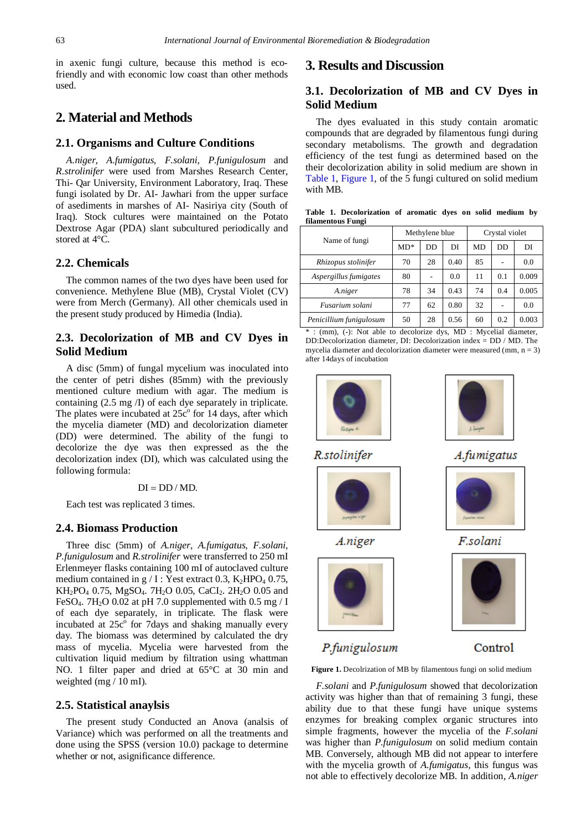in axenic fungi culture, because this method is ecofriendly and with economic low coast than other methods used.

# **2. Material and Methods**

#### **2.1. Organisms and Culture Conditions**

*A.niger, A.fumigatus, F.solani, P.funigulosum* and *R.strolinifer* were used from Marshes Research Center, Thi- Qar University, Environment Laboratory, Iraq. These fungi isolated by Dr. AI- Jawhari from the upper surface of asediments in marshes of AI- Nasiriya city (South of Iraq). Stock cultures were maintained on the Potato Dextrose Agar (PDA) slant subcultured periodically and stored at 4°C.

#### **2.2. Chemicals**

The common names of the two dyes have been used for convenience. Methylene Blue (MB), Crystal Violet (CV) were from Merch (Germany). All other chemicals used in the present study produced by Himedia (India).

## **2.3. Decolorization of MB and CV Dyes in Solid Medium**

A disc (5mm) of fungal mycelium was inoculated into the center of petri dishes (85mm) with the previously mentioned culture medium with agar. The medium is containing (2.5 mg /I) of each dye separately in triplicate. The plates were incubated at  $25c^{\circ}$  for 14 days, after which the mycelia diameter (MD) and decolorization diameter (DD) were determined. The ability of the fungi to decolorize the dye was then expressed as the the decolorization index (DI), which was calculated using the following formula:

#### $DI = DD / MD$ .

Each test was replicated 3 times.

#### **2.4. Biomass Production**

Three disc (5mm) of *A.niger, A.fumigatus, F.solani, P.funigulosum* and *R.strolinifer* were transferred to 250 mI Erlenmeyer flasks containing 100 mI of autoclaved culture medium contained in g / I : Yest extract 0.3,  $K_2HPO_4$  0.75, KH<sub>2</sub>PO<sub>4</sub> 0.75, MgSO<sub>4</sub>. 7H<sub>2</sub>O 0.05, CaCI<sub>2</sub>. 2H<sub>2</sub>O 0.05 and FeSO<sub>4</sub>. 7H<sub>2</sub>O 0.02 at pH 7.0 supplemented with 0.5 mg / I of each dye separately, in triplicate. The flask were incubated at  $25c^{\circ}$  for 7 days and shaking manually every day. The biomass was determined by calculated the dry mass of mycelia. Mycelia were harvested from the cultivation liquid medium by filtration using whattman NO. 1 filter paper and dried at 65°C at 30 min and weighted (mg / 10 mI).

#### **2.5. Statistical anaylsis**

The present study Conducted an Anova (analsis of Variance) which was performed on all the treatments and done using the SPSS (version 10.0) package to determine whether or not, asignificance difference.

### **3. Results and Discussion**

## **3.1. Decolorization of MB and CV Dyes in Solid Medium**

The dyes evaluated in this study contain aromatic compounds that are degraded by filamentous fungi during secondary metabolisms. The growth and degradation efficiency of the test fungi as determined based on the their decolorization ability in solid medium are shown in [Table 1,](#page-1-0) [Figure 1,](#page-1-1) of the 5 fungi cultured on solid medium with MB.

**Table 1. Decolorization of aromatic dyes on solid medium by filamentous Fungi**

| Name of fungi           |       | Methylene blue |      | Crystal violet |     |       |
|-------------------------|-------|----------------|------|----------------|-----|-------|
|                         | $MD*$ | DD             | DI   | MD             | DD  | DI    |
| Rhizopus stolinifer     | 70    | 28             | 0.40 | 85             |     | 0.0   |
| Aspergillus fumigates   | 80    |                | 0.0  | 11             | 0.1 | 0.009 |
| A.niger                 | 78    | 34             | 0.43 | 74             | 0.4 | 0.005 |
| Fusarium solani         | 77    | 62             | 0.80 | 32             |     | 0.0   |
| Penicillium funigulosum | 50    | 28             | 0.56 | 60             | 0.2 | 0.003 |

: (mm), (-): Not able to decolorize dys, MD : Mycelial diameter, DD:Decolorization diameter, DI: Decolorization index = DD / MD. The mycelia diameter and decolorization diameter were measured (mm,  $n = 3$ ) after 14days of incubation

<span id="page-1-1"></span>

R.stolinifer

<span id="page-1-0"></span>

A.fumigatus



F.solani



# P.funigulosum

A.niger

Control

**Figure 1.** Decolrization of MB by filamentous fungi on solid medium

*F.solani* and *P.funigulosum* showed that decolorization activity was higher than that of remaining 3 fungi, these ability due to that these fungi have unique systems enzymes for breaking complex organic structures into simple fragments, however the mycelia of the *F.solani* was higher than *P.funigulosum* on solid medium contain MB. Conversely, although MB did not appear to interfere with the mycelia growth of *A.fumigatus,* this fungus was not able to effectively decolorize MB. In addition, *A.niger*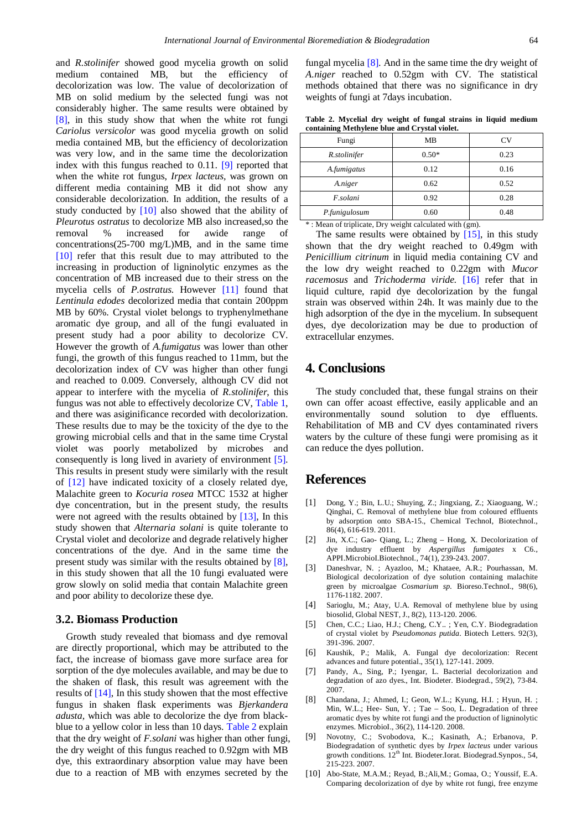and *R.stolinifer* showed good mycelia growth on solid medium contained MB, but the efficiency of decolorization was low. The value of decolorization of MB on solid medium by the selected fungi was not considerably higher. The same results were obtained by [\[8\],](#page-2-7) in this study show that when the white rot fungi *Cariolus versicolor* was good mycelia growth on solid media contained MB, but the efficiency of decolorization was very low, and in the same time the decolorization index with this fungus reached to 0.11. [\[9\]](#page-2-8) reported that when the white rot fungus, *Irpex lacteus,* was grown on different media containing MB it did not show any considerable decolorization. In addition, the results of a study conducted by [\[10\]](#page-2-9) also showed that the ability of *Pleurotus ostratus* to decolorize MB also increased,so the removal % increased for awide range of concentrations(25-700 mg/L)MB, and in the same time [\[10\]](#page-2-9) refer that this result due to may attributed to the increasing in production of ligninolytic enzymes as the concentration of MB increased due to their stress on the mycelia cells of *P.ostratus.* However [\[11\]](#page-3-0) found that *Lentinula edodes* decolorized media that contain 200ppm MB by 60%. Crystal violet belongs to tryphenylmethane aromatic dye group, and all of the fungi evaluated in present study had a poor ability to decolorize CV. However the growth of *A.fumigatus* was lower than other fungi, the growth of this fungus reached to 11mm, but the decolorization index of CV was higher than other fungi and reached to 0.009. Conversely, although CV did not appear to interfere with the mycelia of *R.stolinifer*, this fungus was not able to effectively decolorize CV, [Table 1,](#page-1-0) and there was asiginificance recorded with decolorization. These results due to may be the toxicity of the dye to the growing microbial cells and that in the same time Crystal violet was poorly metabolized by microbes and consequently is long lived in avariety of environment [\[5\].](#page-2-4) This results in present study were similarly with the result of [\[12\]](#page-3-1) have indicated toxicity of a closely related dye, Malachite green to *Kocuria rosea* MTCC 1532 at higher dye concentration, but in the present study, the results were not agreed with the results obtained by [\[13\],](#page-3-2) In this study showen that *Alternaria solani* is quite tolerante to Crystal violet and decolorize and degrade relatively higher concentrations of the dye. And in the same time the present study was similar with the results obtained by [\[8\],](#page-2-7) in this study showen that all the 10 fungi evaluated were grow slowly on solid media that contain Malachite green and poor ability to decolorize these dye.

#### **3.2. Biomass Production**

Growth study revealed that biomass and dye removal are directly proportional, which may be attributed to the fact, the increase of biomass gave more surface area for sorption of the dye molecules available, and may be due to the shaken of flask, this result was agreement with the results of [\[14\],](#page-3-3) In this study showen that the most effective fungus in shaken flask experiments was *Bjerkandera adusta,* which was able to decolorize the dye from blackblue to a yellow color in less than 10 days. [Table 2](#page-2-10) explain that the dry weight of *F.solani* was higher than other fungi, the dry weight of this fungus reached to 0.92gm with MB dye, this extraordinary absorption value may have been due to a reaction of MB with enzymes secreted by the

fungal mycelia [\[8\].](#page-2-7) And in the same time the dry weight of *A.niger* reached to 0.52gm with CV. The statistical methods obtained that there was no significance in dry weights of fungi at 7days incubation.

| Table 2. Mycelial dry weight of fungal strains in liquid medium |  |  |  |  |  |  |  |  |
|-----------------------------------------------------------------|--|--|--|--|--|--|--|--|
| containing Methylene blue and Crystal violet.                   |  |  |  |  |  |  |  |  |

<span id="page-2-10"></span>

| Fungi         | MВ      | CV   |
|---------------|---------|------|
| R.stolinifer  | $0.50*$ | 0.23 |
| A.fumigatus   | 0.12    | 0.16 |
| A.niger       | 0.62    | 0.52 |
| F.solani      | 0.92    | 0.28 |
| P.funigulosum | 0.60    | 0.48 |

\* : Mean of triplicate, Dry weight calculated with (gm).

The same results were obtained by [\[15\],](#page-3-4) in this study shown that the dry weight reached to 0.49gm with *Penicillium citrinum* in liquid media containing CV and the low dry weight reached to 0.22gm with *Mucor racemosus* and *Trichoderma viride.* [\[16\]](#page-3-5) refer that in liquid culture, rapid dye decolorization by the fungal strain was observed within 24h. It was mainly due to the high adsorption of the dye in the mycelium. In subsequent dyes, dye decolorization may be due to production of extracellular enzymes.

## **4. Conclusions**

The study concluded that, these fungal strains on their own can offer acoast effective, easily applicable and an environmentally sound solution to dye effluents. Rehabilitation of MB and CV dyes contaminated rivers waters by the culture of these fungi were promising as it can reduce the dyes pollution.

# **References**

- <span id="page-2-0"></span>[1] Dong, Y.; Bin, L.U.; Shuying, Z.; Jingxiang, Z.; Xiaoguang, W.; Qinghai, C. Removal of methylene blue from coloured effluents by adsorption onto SBA-15., Chemical TechnoI, BiotechnoI., 86(4), 616-619. 2011.
- <span id="page-2-1"></span>[2] Jin, X.C.; Gao- Qiang, L.; Zheng – Hong, X. Decolorization of dye industry effluent by *Aspergillus fumigates* x C6., APPI.MicrobioI.BiotechnoI., 74(1), 239-243. 2007.
- <span id="page-2-2"></span>[3] Daneshvar, N. ; Ayazloo, M.; Khataee, A.R.; Pourhassan, M. Biological decolorization of dye solution containing malachite green by microalgae *Cosmarium sp.* Bioreso.TechnoI., 98(6), 1176-1182. 2007.
- <span id="page-2-3"></span>[4] Sarioglu, M.; Atay, U.A. Removal of methylene blue by using biosolid, Global NEST, J., 8(2), 113-120. 2006.
- <span id="page-2-4"></span>[5] Chen, C.C.; Liao, H.J.; Cheng, C.Y.. ; Yen, C.Y. Biodegradation of crystal violet by *Pseudomonas putida*. Biotech Letters. 92(3), 391-396. 2007.
- <span id="page-2-5"></span>[6] Kaushik, P.; Malik, A. Fungal dye decolorization: Recent advances and future potential., 35(1), 127-141. 2009.
- <span id="page-2-6"></span>[7] Pandy, A., Sing, P.; Iyengar, L. Bacterial decolorization and degradation of azo dyes., Int. Biodeter. Biodegrad., 59(2), 73-84. 2007.
- <span id="page-2-7"></span>[8] Chandana, J.; Ahmed, I.; Geon, W.L.; Kyung, H.I. ; Hyun, H. ; Min, W.L.; Hee- Sun, Y. ; Tae – Soo, L. Degradation of three aromatic dyes by white rot fungi and the production of ligninolytic enzymes. MicrobioI., 36(2), 114-120. 2008.
- <span id="page-2-8"></span>[9] Novotny, C.; Svobodova, K..; Kasinath, A.; Erbanova, P. Biodegradation of synthetic dyes by *Irpex lacteus* under various growth conditions. 12<sup>th</sup> Int. Biodeter.Iorat. Biodegrad.Synpos., 54, 215-223. 2007.
- <span id="page-2-9"></span>[10] Abo-State, M.A.M.; Reyad, B.;Ali,M.; Gomaa, O.; Youssif, E.A. Comparing decolorization of dye by white rot fungi, free enzyme